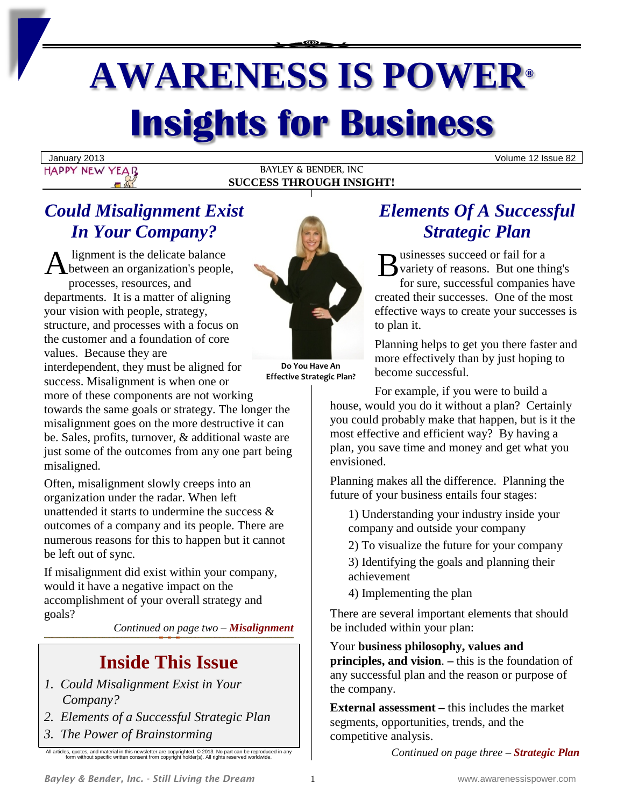# **AWARENESS IS POWER® Insights for Business**

January 2013 Volume 12 Issue 82 HAPPY NEW YEAR

BAYLEY & BENDER, INC **SUCCESS THROUGH INSIGHT!**

# *Could Misalignment Exist In Your Company?*

A lignment is the delicate balance<br>
between an organization's people, between an organization's people, processes, resources, and departments. It is a matter of aligning your vision with people, strategy, structure, and processes with a focus on the customer and a foundation of core values. Because they are interdependent, they must be aligned for success. Misalignment is when one or more of these components are not working



**Do You Have An Effective Strategic Plan?**

towards the same goals or strategy. The longer the misalignment goes on the more destructive it can be. Sales, profits, turnover, & additional waste are just some of the outcomes from any one part being misaligned.

Often, misalignment slowly creeps into an organization under the radar. When left unattended it starts to undermine the success & outcomes of a company and its people. There are numerous reasons for this to happen but it cannot be left out of sync.

If misalignment did exist within your company, would it have a negative impact on the accomplishment of your overall strategy and goals?

*Continued on page two – Misalignment*

# **Inside This Issue**

- *1. Could Misalignment Exist in Your Company?*
- *2. Elements of a Successful Strategic Plan*
- *3. The Power of Brainstorming*

All articles, quotes, and material in this newsletter are copyrighted. © 2013. No part can be reproduced in any form without specific written consent from copyright holder(s). All rights reserved worldwide.

# *Elements Of A Successful Strategic Plan*

usinesses succeed or fail for a variety of reasons. But one thing's for sure, successful companies have created their successes. One of the most effective ways to create your successes is to plan it.

Planning helps to get you there faster and more effectively than by just hoping to become successful.

For example, if you were to build a house, would you do it without a plan? Certainly you could probably make that happen, but is it the most effective and efficient way? By having a plan, you save time and money and get what you envisioned.

Planning makes all the difference. Planning the future of your business entails four stages:

1) Understanding your industry inside your company and outside your company

2) To visualize the future for your company

3) Identifying the goals and planning their achievement

4) Implementing the plan

There are several important elements that should be included within your plan:

Your **business philosophy, values and principles, and vision**. **–** this is the foundation of any successful plan and the reason or purpose of the company.

**External assessment –** this includes the market segments, opportunities, trends, and the competitive analysis.

*Continued on page three – Strategic Plan*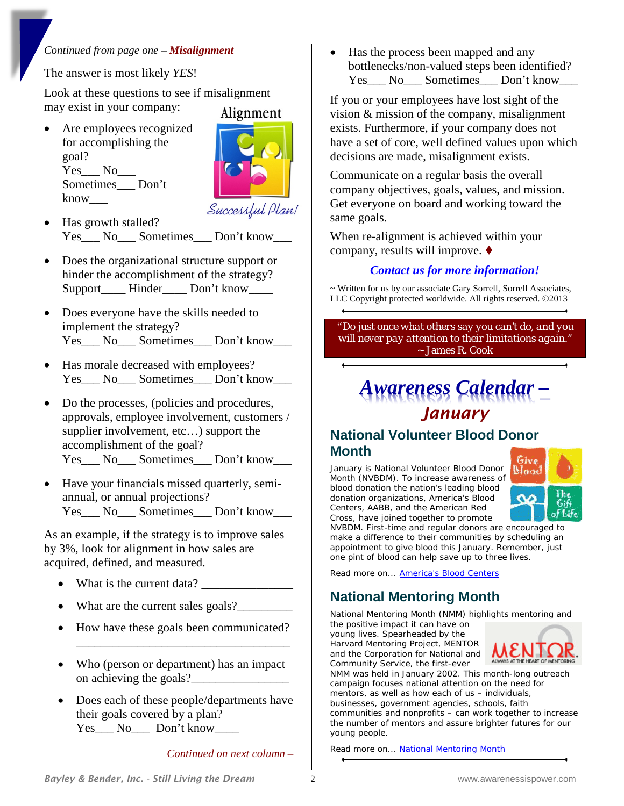#### *Continued from page one – Misalignment*

The answer is most likely *YES*!

Look at these questions to see if misalignment may exist in your company: Alignment

• Are employees recognized for accomplishing the goal? Yes No Sometimes Don't know\_\_\_



Successful Plan!

- Has growth stalled? Yes<sup>No Sometimes Don't know</sup>
- Does the organizational structure support or hinder the accomplishment of the strategy? Support\_\_\_\_\_ Hinder\_\_\_\_\_ Don't know\_\_\_\_\_
- Does everyone have the skills needed to implement the strategy? Yes\_\_\_ No\_\_\_ Sometimes\_\_\_ Don't know\_\_\_
- Has morale decreased with employees? Yes\_\_\_ No\_\_\_ Sometimes\_\_\_ Don't know\_\_\_
- Do the processes, (policies and procedures, approvals, employee involvement, customers / supplier involvement, etc…) support the accomplishment of the goal? Yes No Sometimes Don't know
- Have your financials missed quarterly, semiannual, or annual projections? Yes No Sometimes Don't know

As an example, if the strategy is to improve sales by 3%, look for alignment in how sales are acquired, defined, and measured.

- What is the current data?
- What are the current sales goals?
- How have these goals been communicated?

\_\_\_\_\_\_\_\_\_\_\_\_\_\_\_\_\_\_\_\_\_\_\_\_\_\_\_\_\_\_\_\_\_\_\_

- Who (person or department) has an impact on achieving the goals?
- Does each of these people/departments have their goals covered by a plan? Yes No Don't know

*Continued on next column –*

• Has the process been mapped and any bottlenecks/non-valued steps been identified? Yes\_\_\_ No\_\_\_ Sometimes\_\_\_ Don't know\_\_\_

If you or your employees have lost sight of the vision & mission of the company, misalignment exists. Furthermore, if your company does not have a set of core, well defined values upon which decisions are made, misalignment exists.

Communicate on a regular basis the overall company objectives, goals, values, and mission. Get everyone on board and working toward the same goals.

When re-alignment is achieved within your company, results will improve.

#### *Contact us for more information!*

~ Written for us by our associate Gary Sorrell, Sorrell Associates, LLC Copyright protected worldwide. All rights reserved. ©2013

*"Do just once what others say you can't do, and you will never pay attention to their limitations again."*  ~ James R. Cook

# *Awareness Calendar – January*

#### **National Volunteer Blood Donor Month**

January is National Volunteer Blood Donor Month (NVBDM). To increase awareness of blood donation the nation's leading blood donation organizations, America's Blood Centers, AABB, and the American Red Cross, have joined together to promote



NVBDM. First-time and regular donors are encouraged to make a difference to their communities by scheduling an appointment to give blood this January. Remember, just one pint of blood can help save up to three lives.

Read more on... **America's Blood Centers** 

## **National Mentoring Month**

National Mentoring Month (NMM) highlights mentoring and

the positive impact it can have on young lives. Spearheaded by the Harvard Mentoring Project, MENTOR and the Corporation for National and Community Service, the first-ever



NMM was held in January 2002. This month-long outreach campaign focuses national attention on the need for mentors, as well as how each of us – individuals, businesses, government agencies, schools, faith communities and nonprofits – can work together to increase the number of mentors and assure brighter futures for our young people.

Read more on... [National Mentoring Month](http://www.mentoring.org/mentoring_month/)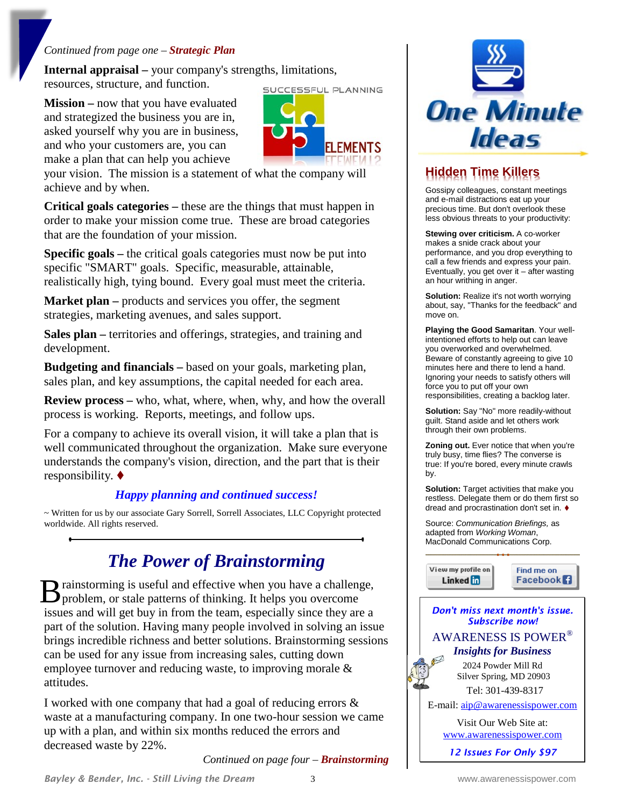#### *Continued from page one – Strategic Plan*

**Internal appraisal –** your company's strengths, limitations, resources, structure, and function. SUCCESSFUL PLANNING

**Mission –** now that you have evaluated and strategized the business you are in, asked yourself why you are in business, and who your customers are, you can make a plan that can help you achieve



your vision. The mission is a statement of what the company will achieve and by when.

**Critical goals categories –** these are the things that must happen in order to make your mission come true. These are broad categories that are the foundation of your mission.

**Specific goals –** the critical goals categories must now be put into specific "SMART" goals. Specific, measurable, attainable, realistically high, tying bound. Every goal must meet the criteria.

**Market plan** – products and services you offer, the segment strategies, marketing avenues, and sales support.

**Sales plan –** territories and offerings, strategies, and training and development.

**Budgeting and financials –** based on your goals, marketing plan, sales plan, and key assumptions, the capital needed for each area.

**Review process** – who, what, where, when, why, and how the overall process is working. Reports, meetings, and follow ups.

For a company to achieve its overall vision, it will take a plan that is well communicated throughout the organization. Make sure everyone understands the company's vision, direction, and the part that is their responsibility.

#### *Happy planning and continued success!*

~ Written for us by our associate Gary Sorrell, Sorrell Associates, LLC Copyright protected worldwide. All rights reserved.

## *The Power of Brainstorming*

rainstorming is useful and effective when you have a challenge, B rainstorming is useful and effective when you have a challeng<br>problem, or stale patterns of thinking. It helps you overcome issues and will get buy in from the team, especially since they are a part of the solution. Having many people involved in solving an issue brings incredible richness and better solutions. Brainstorming sessions can be used for any issue from increasing sales, cutting down employee turnover and reducing waste, to improving morale & attitudes.

I worked with one company that had a goal of reducing errors & waste at a manufacturing company. In one two-hour session we came up with a plan, and within six months reduced the errors and decreased waste by 22%.

*Continued on page four – Brainstorming*



## **Hidden Time Killers**

Gossipy colleagues, constant meetings and e-mail distractions eat up your precious time. But don't overlook these less obvious threats to your productivity:

**Stewing over criticism.** A co-worker makes a snide crack about your performance, and you drop everything to call a few friends and express your pain. Eventually, you get over it – after wasting an hour writhing in anger.

**Solution:** Realize it's not worth worrying about, say, "Thanks for the feedback" and move on.

**Playing the Good Samaritan**. Your wellintentioned efforts to help out can leave you overworked and overwhelmed. Beware of constantly agreeing to give 10 minutes here and there to lend a hand. Ignoring your needs to satisfy others will force you to put off your own responsibilities, creating a backlog later.

**Solution:** Say "No" more readily-without guilt. Stand aside and let others work through their own problems.

**Zoning out.** Ever notice that when you're truly busy, time flies? The converse is true: If you're bored, every minute crawls by.

**Solution:** Target activities that make you restless. Delegate them or do them first so dread and procrastination don't set in.

Source: *Communication Briefings,* as adapted from *Working Woman*, MacDonald Communications Corp.